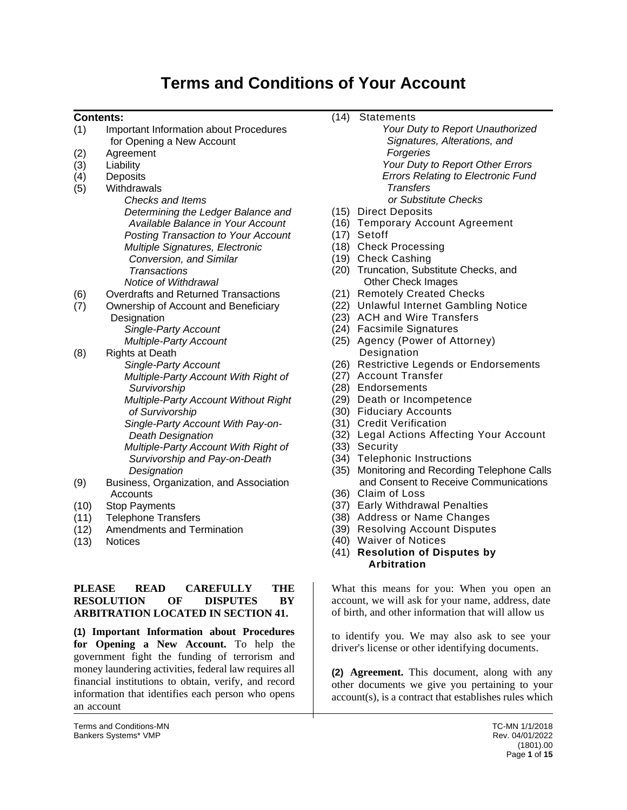# **Terms and Conditions of Your Account**

#### **Contents:**

- (1) Important Information about Procedures
- for Opening a New Account
- (2) Agreement
- (3) Liability
- (4) Deposits (5) Withdrawals
	- *Checks and Items Determining the Ledger Balance and Available Balance in Your Account Posting Transaction to Your Account Multiple Signatures, Electronic Conversion, and Similar Transactions Notice of Withdrawal*
- (6) Overdrafts and Returned Transactions
- (7) Ownership of Account and Beneficiary **Designation** 
	- *Single-Party Account Multiple-Party Account*
- (8) Rights at Death

*Single-Party Account Multiple-Party Account With Right of Survivorship Multiple-Party Account Without Right* 

*of Survivorship*

*Single-Party Account With Pay-on-Death Designation*

*Multiple-Party Account With Right of Survivorship and Pay-on-Death Designation*

- (9) Business, Organization, and Association **Accounts**
- (10) Stop Payments
- (11) Telephone Transfers
- (12) Amendments and Termination
- (13) Notices

#### **PLEASE READ CAREFULLY THE RESOLUTION OF DISPUTES BY ARBITRATION LOCATED IN SECTION 41.**

**(1) Important Information about Procedures for Opening a New Account.** To help the government fight the funding of terrorism and money laundering activities, federal law requires all financial institutions to obtain, verify, and record information that identifies each person who opens an account

- (14) Statements
	- *Your Duty to Report Unauthorized Signatures, Alterations, and Forgeries Your Duty to Report Other Errors Errors Relating to Electronic Fund Transfers or Substitute Checks*
- (15) Direct Deposits
- (16) Temporary Account Agreement
- (17) Setoff
- (18) Check Processing
- (19) Check Cashing
- (20) Truncation, Substitute Checks, and Other Check Images
- (21) Remotely Created Checks
- (22) Unlawful Internet Gambling Notice
- (23) ACH and Wire Transfers
- (24) Facsimile Signatures
- (25) Agency (Power of Attorney) **Designation**
- (26) Restrictive Legends or Endorsements
- (27) Account Transfer
- (28) Endorsements
- (29) Death or Incompetence
- (30) Fiduciary Accounts
- (31) Credit Verification
- (32) Legal Actions Affecting Your Account
- (33) Security
- (34) Telephonic Instructions
- (35) Monitoring and Recording Telephone Calls and Consent to Receive Communications
- (36) Claim of Loss
- (37) Early Withdrawal Penalties
- (38) Address or Name Changes
- (39) Resolving Account Disputes
- (40) Waiver of Notices
- (41) **Resolution of Disputes by Arbitration**

What this means for you: When you open an account, we will ask for your name, address, date of birth, and other information that will allow us

to identify you. We may also ask to see your driver's license or other identifying documents.

**(2) Agreement.** This document, along with any other documents we give you pertaining to your account(s), is a contract that establishes rules which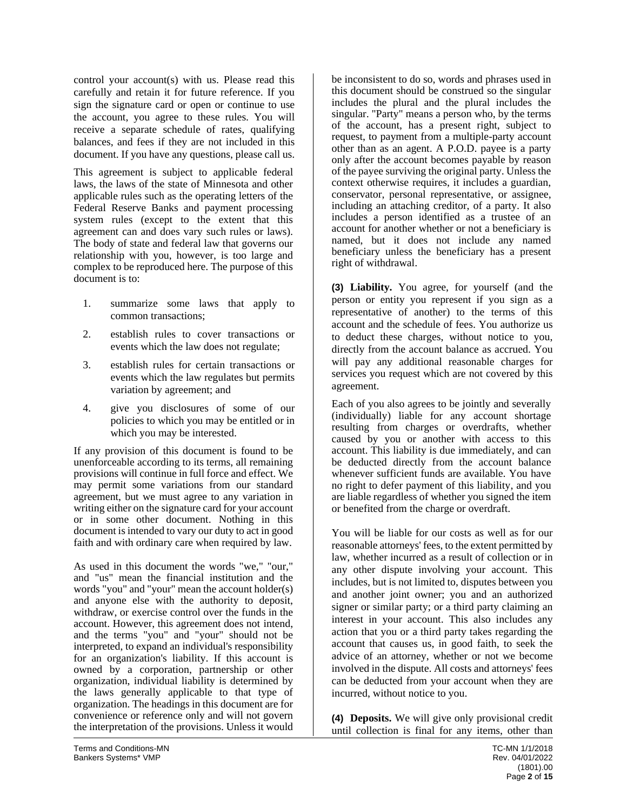control your account(s) with us. Please read this carefully and retain it for future reference. If you sign the signature card or open or continue to use the account, you agree to these rules. You will receive a separate schedule of rates, qualifying balances, and fees if they are not included in this document. If you have any questions, please call us.

This agreement is subject to applicable federal laws, the laws of the state of Minnesota and other applicable rules such as the operating letters of the Federal Reserve Banks and payment processing system rules (except to the extent that this agreement can and does vary such rules or laws). The body of state and federal law that governs our relationship with you, however, is too large and complex to be reproduced here. The purpose of this document is to:

- 1. summarize some laws that apply to common transactions;
- 2. establish rules to cover transactions or events which the law does not regulate;
- 3. establish rules for certain transactions or events which the law regulates but permits variation by agreement; and
- 4. give you disclosures of some of our policies to which you may be entitled or in which you may be interested.

If any provision of this document is found to be unenforceable according to its terms, all remaining provisions will continue in full force and effect. We may permit some variations from our standard agreement, but we must agree to any variation in writing either on the signature card for your account or in some other document. Nothing in this document is intended to vary our duty to act in good faith and with ordinary care when required by law.

As used in this document the words "we," "our," and "us" mean the financial institution and the words "you" and "your" mean the account holder(s) and anyone else with the authority to deposit, withdraw, or exercise control over the funds in the account. However, this agreement does not intend, and the terms "you" and "your" should not be interpreted, to expand an individual's responsibility for an organization's liability. If this account is owned by a corporation, partnership or other organization, individual liability is determined by the laws generally applicable to that type of organization. The headings in this document are for convenience or reference only and will not govern the interpretation of the provisions. Unless it would

be inconsistent to do so, words and phrases used in this document should be construed so the singular includes the plural and the plural includes the singular. "Party" means a person who, by the terms of the account, has a present right, subject to request, to payment from a multiple-party account other than as an agent. A P.O.D. payee is a party only after the account becomes payable by reason of the payee surviving the original party. Unless the context otherwise requires, it includes a guardian, conservator, personal representative, or assignee, including an attaching creditor, of a party. It also includes a person identified as a trustee of an account for another whether or not a beneficiary is named, but it does not include any named beneficiary unless the beneficiary has a present right of withdrawal.

**(3) Liability.** You agree, for yourself (and the person or entity you represent if you sign as a representative of another) to the terms of this account and the schedule of fees. You authorize us to deduct these charges, without notice to you, directly from the account balance as accrued. You will pay any additional reasonable charges for services you request which are not covered by this agreement.

Each of you also agrees to be jointly and severally (individually) liable for any account shortage resulting from charges or overdrafts, whether caused by you or another with access to this account. This liability is due immediately, and can be deducted directly from the account balance whenever sufficient funds are available. You have no right to defer payment of this liability, and you are liable regardless of whether you signed the item or benefited from the charge or overdraft.

You will be liable for our costs as well as for our reasonable attorneys' fees, to the extent permitted by law, whether incurred as a result of collection or in any other dispute involving your account. This includes, but is not limited to, disputes between you and another joint owner; you and an authorized signer or similar party; or a third party claiming an interest in your account. This also includes any action that you or a third party takes regarding the account that causes us, in good faith, to seek the advice of an attorney, whether or not we become involved in the dispute. All costs and attorneys' fees can be deducted from your account when they are incurred, without notice to you.

**(4) Deposits.** We will give only provisional credit until collection is final for any items, other than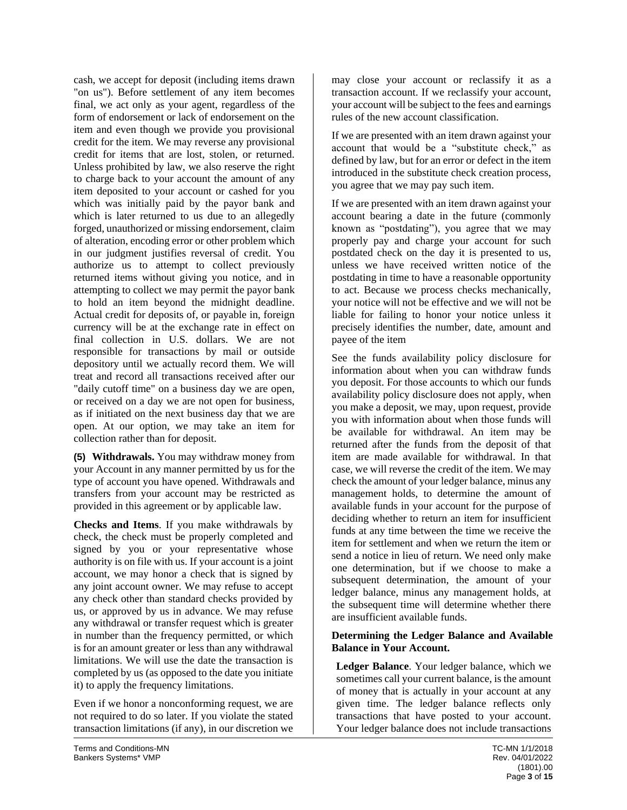cash, we accept for deposit (including items drawn "on us"). Before settlement of any item becomes final, we act only as your agent, regardless of the form of endorsement or lack of endorsement on the item and even though we provide you provisional credit for the item. We may reverse any provisional credit for items that are lost, stolen, or returned. Unless prohibited by law, we also reserve the right to charge back to your account the amount of any item deposited to your account or cashed for you which was initially paid by the payor bank and which is later returned to us due to an allegedly forged, unauthorized or missing endorsement, claim of alteration, encoding error or other problem which in our judgment justifies reversal of credit. You authorize us to attempt to collect previously returned items without giving you notice, and in attempting to collect we may permit the payor bank to hold an item beyond the midnight deadline. Actual credit for deposits of, or payable in, foreign currency will be at the exchange rate in effect on final collection in U.S. dollars. We are not responsible for transactions by mail or outside depository until we actually record them. We will treat and record all transactions received after our "daily cutoff time" on a business day we are open, or received on a day we are not open for business, as if initiated on the next business day that we are open. At our option, we may take an item for collection rather than for deposit.

**(5) Withdrawals.** You may withdraw money from your Account in any manner permitted by us for the type of account you have opened. Withdrawals and transfers from your account may be restricted as provided in this agreement or by applicable law.

**Checks and Items**. If you make withdrawals by check, the check must be properly completed and signed by you or your representative whose authority is on file with us. If your account is a joint account, we may honor a check that is signed by any joint account owner. We may refuse to accept any check other than standard checks provided by us, or approved by us in advance. We may refuse any withdrawal or transfer request which is greater in number than the frequency permitted, or which is for an amount greater or less than any withdrawal limitations. We will use the date the transaction is completed by us (as opposed to the date you initiate it) to apply the frequency limitations.

Even if we honor a nonconforming request, we are not required to do so later. If you violate the stated transaction limitations (if any), in our discretion we may close your account or reclassify it as a transaction account. If we reclassify your account, your account will be subject to the fees and earnings rules of the new account classification.

If we are presented with an item drawn against your account that would be a "substitute check," as defined by law, but for an error or defect in the item introduced in the substitute check creation process, you agree that we may pay such item.

If we are presented with an item drawn against your account bearing a date in the future (commonly known as "postdating"), you agree that we may properly pay and charge your account for such postdated check on the day it is presented to us, unless we have received written notice of the postdating in time to have a reasonable opportunity to act. Because we process checks mechanically, your notice will not be effective and we will not be liable for failing to honor your notice unless it precisely identifies the number, date, amount and payee of the item

See the funds availability policy disclosure for information about when you can withdraw funds you deposit. For those accounts to which our funds availability policy disclosure does not apply, when you make a deposit, we may, upon request, provide you with information about when those funds will be available for withdrawal. An item may be returned after the funds from the deposit of that item are made available for withdrawal. In that case, we will reverse the credit of the item. We may check the amount of your ledger balance, minus any management holds, to determine the amount of available funds in your account for the purpose of deciding whether to return an item for insufficient funds at any time between the time we receive the item for settlement and when we return the item or send a notice in lieu of return. We need only make one determination, but if we choose to make a subsequent determination, the amount of your ledger balance, minus any management holds, at the subsequent time will determine whether there are insufficient available funds.

### **Determining the Ledger Balance and Available Balance in Your Account.**

**Ledger Balance**. Your ledger balance, which we sometimes call your current balance, is the amount of money that is actually in your account at any given time. The ledger balance reflects only transactions that have posted to your account. Your ledger balance does not include transactions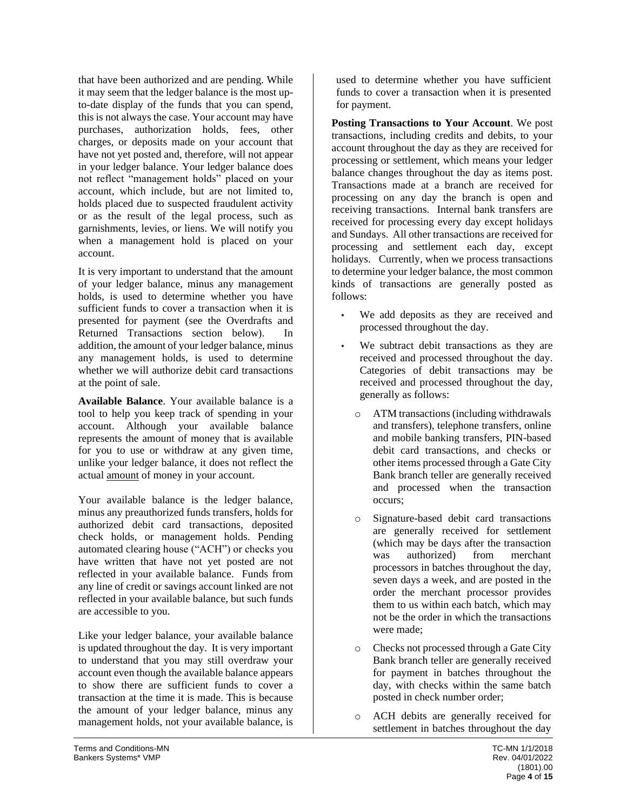that have been authorized and are pending. While it may seem that the ledger balance is the most upto-date display of the funds that you can spend, this is not always the case. Your account may have purchases, authorization holds, fees, other charges, or deposits made on your account that have not yet posted and, therefore, will not appear in your ledger balance. Your ledger balance does not reflect "management holds" placed on your account, which include, but are not limited to, holds placed due to suspected fraudulent activity or as the result of the legal process, such as garnishments, levies, or liens. We will notify you when a management hold is placed on your account.

It is very important to understand that the amount of your ledger balance, minus any management holds, is used to determine whether you have sufficient funds to cover a transaction when it is presented for payment (see the Overdrafts and Returned Transactions section below). In addition, the amount of your ledger balance, minus any management holds, is used to determine whether we will authorize debit card transactions at the point of sale.

**Available Balance**. Your available balance is a tool to help you keep track of spending in your account. Although your available balance represents the amount of money that is available for you to use or withdraw at any given time, unlike your ledger balance, it does not reflect the actual amount of money in your account.

Your available balance is the ledger balance, minus any preauthorized funds transfers, holds for authorized debit card transactions, deposited check holds, or management holds. Pending automated clearing house ("ACH") or checks you have written that have not yet posted are not reflected in your available balance. Funds from any line of credit or savings account linked are not reflected in your available balance, but such funds are accessible to you.

Like your ledger balance, your available balance is updated throughout the day. It is very important to understand that you may still overdraw your account even though the available balance appears to show there are sufficient funds to cover a transaction at the time it is made. This is because the amount of your ledger balance, minus any management holds, not your available balance, is used to determine whether you have sufficient funds to cover a transaction when it is presented for payment.

**Posting Transactions to Your Account**. We post transactions, including credits and debits, to your account throughout the day as they are received for processing or settlement, which means your ledger balance changes throughout the day as items post. Transactions made at a branch are received for processing on any day the branch is open and receiving transactions. Internal bank transfers are received for processing every day except holidays and Sundays. All other transactions are received for processing and settlement each day, except holidays. Currently, when we process transactions to determine your ledger balance, the most common kinds of transactions are generally posted as follows:

- **•** We add deposits as they are received and processed throughout the day.
- We subtract debit transactions as they are received and processed throughout the day. Categories of debit transactions may be received and processed throughout the day, generally as follows:
	- o ATM transactions (including withdrawals and transfers), telephone transfers, online and mobile banking transfers, PIN-based debit card transactions, and checks or other items processed through a Gate City Bank branch teller are generally received and processed when the transaction occurs;
	- o Signature-based debit card transactions are generally received for settlement (which may be days after the transaction was authorized) from merchant processors in batches throughout the day, seven days a week, and are posted in the order the merchant processor provides them to us within each batch, which may not be the order in which the transactions were made;
	- o Checks not processed through a Gate City Bank branch teller are generally received for payment in batches throughout the day, with checks within the same batch posted in check number order;
	- o ACH debits are generally received for settlement in batches throughout the day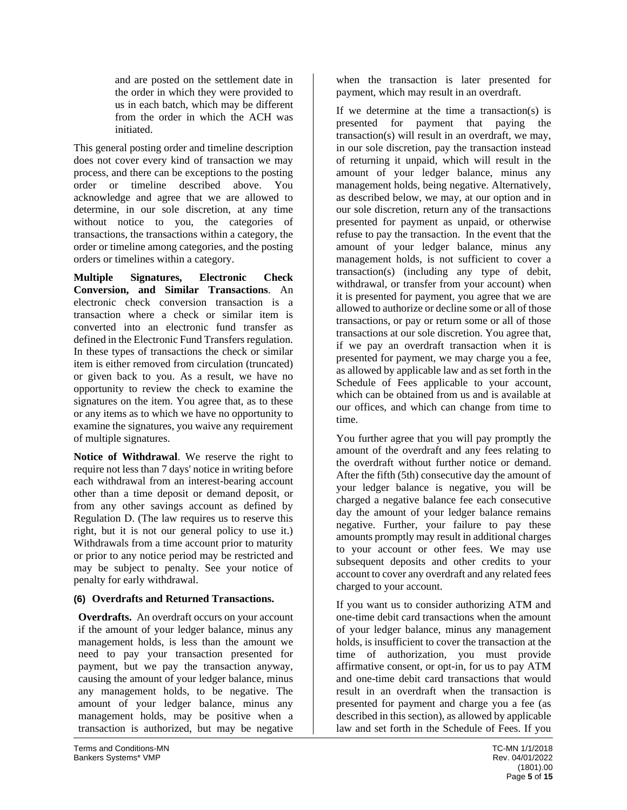and are posted on the settlement date in the order in which they were provided to us in each batch, which may be different from the order in which the ACH was initiated.

This general posting order and timeline description does not cover every kind of transaction we may process, and there can be exceptions to the posting order or timeline described above. You acknowledge and agree that we are allowed to determine, in our sole discretion, at any time without notice to you, the categories of transactions, the transactions within a category, the order or timeline among categories, and the posting orders or timelines within a category.

**Multiple Signatures, Electronic Check Conversion, and Similar Transactions**. An electronic check conversion transaction is a transaction where a check or similar item is converted into an electronic fund transfer as defined in the Electronic Fund Transfers regulation. In these types of transactions the check or similar item is either removed from circulation (truncated) or given back to you. As a result, we have no opportunity to review the check to examine the signatures on the item. You agree that, as to these or any items as to which we have no opportunity to examine the signatures, you waive any requirement of multiple signatures.

**Notice of Withdrawal**. We reserve the right to require not less than 7 days' notice in writing before each withdrawal from an interest-bearing account other than a time deposit or demand deposit, or from any other savings account as defined by Regulation D. (The law requires us to reserve this right, but it is not our general policy to use it.) Withdrawals from a time account prior to maturity or prior to any notice period may be restricted and may be subject to penalty. See your notice of penalty for early withdrawal.

## **(6) Overdrafts and Returned Transactions.**

**Overdrafts.** An overdraft occurs on your account if the amount of your ledger balance, minus any management holds, is less than the amount we need to pay your transaction presented for payment, but we pay the transaction anyway, causing the amount of your ledger balance, minus any management holds, to be negative. The amount of your ledger balance, minus any management holds, may be positive when a transaction is authorized, but may be negative

when the transaction is later presented for payment, which may result in an overdraft.

If we determine at the time a transaction(s) is presented for payment that paying the transaction(s) will result in an overdraft, we may, in our sole discretion, pay the transaction instead of returning it unpaid, which will result in the amount of your ledger balance, minus any management holds, being negative. Alternatively, as described below, we may, at our option and in our sole discretion, return any of the transactions presented for payment as unpaid, or otherwise refuse to pay the transaction. In the event that the amount of your ledger balance, minus any management holds, is not sufficient to cover a transaction(s) (including any type of debit, withdrawal, or transfer from your account) when it is presented for payment, you agree that we are allowed to authorize or decline some or all of those transactions, or pay or return some or all of those transactions at our sole discretion. You agree that, if we pay an overdraft transaction when it is presented for payment, we may charge you a fee, as allowed by applicable law and as set forth in the Schedule of Fees applicable to your account, which can be obtained from us and is available at our offices, and which can change from time to time.

You further agree that you will pay promptly the amount of the overdraft and any fees relating to the overdraft without further notice or demand. After the fifth (5th) consecutive day the amount of your ledger balance is negative, you will be charged a negative balance fee each consecutive day the amount of your ledger balance remains negative. Further, your failure to pay these amounts promptly may result in additional charges to your account or other fees. We may use subsequent deposits and other credits to your account to cover any overdraft and any related fees charged to your account.

If you want us to consider authorizing ATM and one-time debit card transactions when the amount of your ledger balance, minus any management holds, is insufficient to cover the transaction at the time of authorization, you must provide affirmative consent, or opt-in, for us to pay ATM and one-time debit card transactions that would result in an overdraft when the transaction is presented for payment and charge you a fee (as described in this section), as allowed by applicable law and set forth in the Schedule of Fees. If you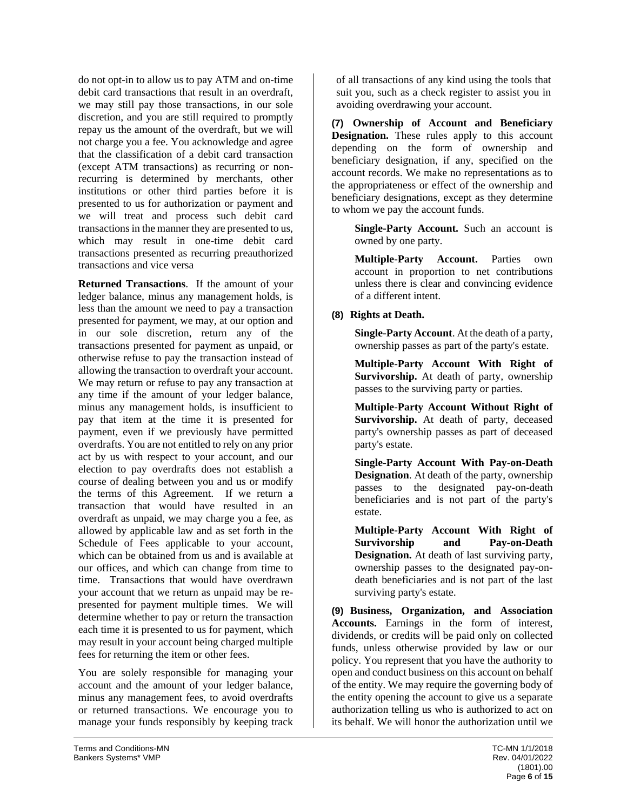do not opt-in to allow us to pay ATM and on-time debit card transactions that result in an overdraft, we may still pay those transactions, in our sole discretion, and you are still required to promptly repay us the amount of the overdraft, but we will not charge you a fee. You acknowledge and agree that the classification of a debit card transaction (except ATM transactions) as recurring or nonrecurring is determined by merchants, other institutions or other third parties before it is presented to us for authorization or payment and we will treat and process such debit card transactions in the manner they are presented to us, which may result in one-time debit card transactions presented as recurring preauthorized transactions and vice versa

**Returned Transactions**. If the amount of your ledger balance, minus any management holds, is less than the amount we need to pay a transaction presented for payment, we may, at our option and in our sole discretion, return any of the transactions presented for payment as unpaid, or otherwise refuse to pay the transaction instead of allowing the transaction to overdraft your account. We may return or refuse to pay any transaction at any time if the amount of your ledger balance, minus any management holds, is insufficient to pay that item at the time it is presented for payment, even if we previously have permitted overdrafts. You are not entitled to rely on any prior act by us with respect to your account, and our election to pay overdrafts does not establish a course of dealing between you and us or modify the terms of this Agreement. If we return a transaction that would have resulted in an overdraft as unpaid, we may charge you a fee, as allowed by applicable law and as set forth in the Schedule of Fees applicable to your account, which can be obtained from us and is available at our offices, and which can change from time to time. Transactions that would have overdrawn your account that we return as unpaid may be represented for payment multiple times. We will determine whether to pay or return the transaction each time it is presented to us for payment, which may result in your account being charged multiple fees for returning the item or other fees.

You are solely responsible for managing your account and the amount of your ledger balance, minus any management fees, to avoid overdrafts or returned transactions. We encourage you to manage your funds responsibly by keeping track of all transactions of any kind using the tools that suit you, such as a check register to assist you in avoiding overdrawing your account.

**(7) Ownership of Account and Beneficiary Designation.** These rules apply to this account depending on the form of ownership and beneficiary designation, if any, specified on the account records. We make no representations as to the appropriateness or effect of the ownership and beneficiary designations, except as they determine to whom we pay the account funds.

> **Single-Party Account.** Such an account is owned by one party.

> **Multiple-Party Account.** Parties own account in proportion to net contributions unless there is clear and convincing evidence of a different intent.

## **(8) Rights at Death.**

**Single-Party Account**. At the death of a party, ownership passes as part of the party's estate.

**Multiple-Party Account With Right of Survivorship.** At death of party, ownership passes to the surviving party or parties.

**Multiple-Party Account Without Right of Survivorship.** At death of party, deceased party's ownership passes as part of deceased party's estate.

**Single-Party Account With Pay-on-Death Designation**. At death of the party, ownership passes to the designated pay-on-death beneficiaries and is not part of the party's estate.

**Multiple-Party Account With Right of Survivorship and Pay-on-Death Designation.** At death of last surviving party, ownership passes to the designated pay-ondeath beneficiaries and is not part of the last surviving party's estate.

**(9) Business, Organization, and Association Accounts.** Earnings in the form of interest, dividends, or credits will be paid only on collected funds, unless otherwise provided by law or our policy. You represent that you have the authority to open and conduct business on this account on behalf of the entity. We may require the governing body of the entity opening the account to give us a separate authorization telling us who is authorized to act on its behalf. We will honor the authorization until we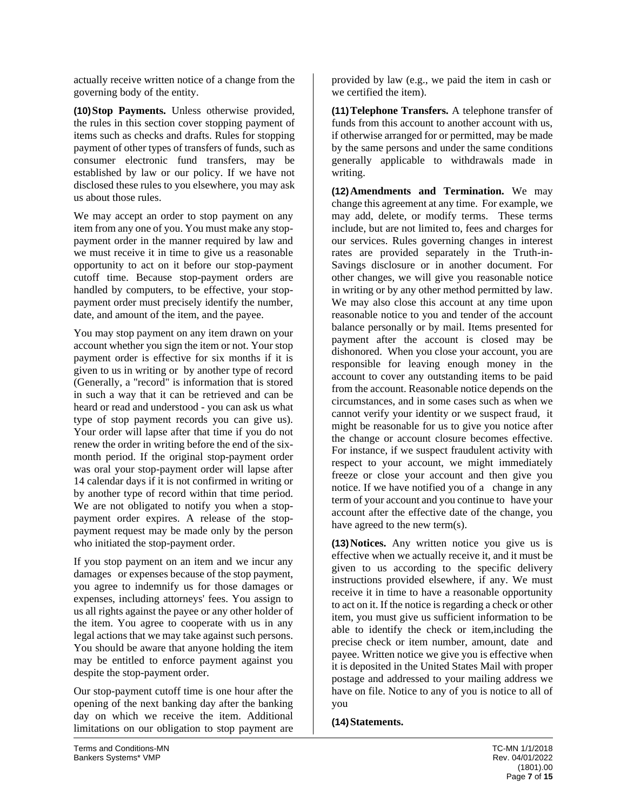actually receive written notice of a change from the governing body of the entity.

**(10)Stop Payments.** Unless otherwise provided, the rules in this section cover stopping payment of items such as checks and drafts. Rules for stopping payment of other types of transfers of funds, such as consumer electronic fund transfers, may be established by law or our policy. If we have not disclosed these rules to you elsewhere, you may ask us about those rules.

We may accept an order to stop payment on any item from any one of you. You must make any stoppayment order in the manner required by law and we must receive it in time to give us a reasonable opportunity to act on it before our stop-payment cutoff time. Because stop-payment orders are handled by computers, to be effective, your stoppayment order must precisely identify the number, date, and amount of the item, and the payee.

You may stop payment on any item drawn on your account whether you sign the item or not. Your stop payment order is effective for six months if it is given to us in writing or by another type of record (Generally, a "record" is information that is stored in such a way that it can be retrieved and can be heard or read and understood - you can ask us what type of stop payment records you can give us). Your order will lapse after that time if you do not renew the order in writing before the end of the sixmonth period. If the original stop-payment order was oral your stop-payment order will lapse after 14 calendar days if it is not confirmed in writing or by another type of record within that time period. We are not obligated to notify you when a stoppayment order expires. A release of the stoppayment request may be made only by the person who initiated the stop-payment order.

If you stop payment on an item and we incur any damages or expenses because of the stop payment, you agree to indemnify us for those damages or expenses, including attorneys' fees. You assign to us all rights against the payee or any other holder of the item. You agree to cooperate with us in any legal actions that we may take against such persons. You should be aware that anyone holding the item may be entitled to enforce payment against you despite the stop-payment order.

Our stop-payment cutoff time is one hour after the opening of the next banking day after the banking day on which we receive the item. Additional limitations on our obligation to stop payment are provided by law (e.g., we paid the item in cash or we certified the item).

**(11)Telephone Transfers.** A telephone transfer of funds from this account to another account with us, if otherwise arranged for or permitted, may be made by the same persons and under the same conditions generally applicable to withdrawals made in writing.

**(12)Amendments and Termination.** We may change this agreement at any time. For example, we may add, delete, or modify terms. These terms include, but are not limited to, fees and charges for our services. Rules governing changes in interest rates are provided separately in the Truth-in-Savings disclosure or in another document. For other changes, we will give you reasonable notice in writing or by any other method permitted by law. We may also close this account at any time upon reasonable notice to you and tender of the account balance personally or by mail. Items presented for payment after the account is closed may be dishonored. When you close your account, you are responsible for leaving enough money in the account to cover any outstanding items to be paid from the account. Reasonable notice depends on the circumstances, and in some cases such as when we cannot verify your identity or we suspect fraud, it might be reasonable for us to give you notice after the change or account closure becomes effective. For instance, if we suspect fraudulent activity with respect to your account, we might immediately freeze or close your account and then give you notice. If we have notified you of a change in any term of your account and you continue to have your account after the effective date of the change, you have agreed to the new term(s).

**(13)Notices.** Any written notice you give us is effective when we actually receive it, and it must be given to us according to the specific delivery instructions provided elsewhere, if any. We must receive it in time to have a reasonable opportunity to act on it. If the notice is regarding a check or other item, you must give us sufficient information to be able to identify the check or item,including the precise check or item number, amount, date and payee. Written notice we give you is effective when it is deposited in the United States Mail with proper postage and addressed to your mailing address we have on file. Notice to any of you is notice to all of you

#### **(14)Statements.**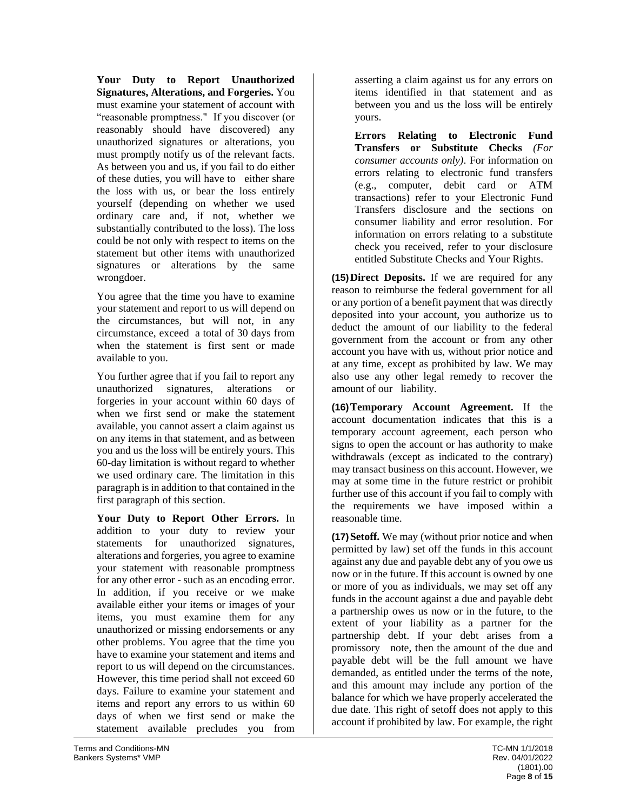**Your Duty to Report Unauthorized Signatures, Alterations, and Forgeries.** You must examine your statement of account with "reasonable promptness." If you discover (or reasonably should have discovered) any unauthorized signatures or alterations, you must promptly notify us of the relevant facts. As between you and us, if you fail to do either of these duties, you will have to either share the loss with us, or bear the loss entirely yourself (depending on whether we used ordinary care and, if not, whether we substantially contributed to the loss). The loss could be not only with respect to items on the statement but other items with unauthorized signatures or alterations by the same wrongdoer.

You agree that the time you have to examine your statement and report to us will depend on the circumstances, but will not, in any circumstance, exceed a total of 30 days from when the statement is first sent or made available to you.

You further agree that if you fail to report any unauthorized signatures, alterations or forgeries in your account within 60 days of when we first send or make the statement available, you cannot assert a claim against us on any items in that statement, and as between you and us the loss will be entirely yours. This 60-day limitation is without regard to whether we used ordinary care. The limitation in this paragraph is in addition to that contained in the first paragraph of this section.

**Your Duty to Report Other Errors.** In addition to your duty to review your statements for unauthorized signatures, alterations and forgeries, you agree to examine your statement with reasonable promptness for any other error - such as an encoding error. In addition, if you receive or we make available either your items or images of your items, you must examine them for any unauthorized or missing endorsements or any other problems. You agree that the time you have to examine your statement and items and report to us will depend on the circumstances. However, this time period shall not exceed 60 days. Failure to examine your statement and items and report any errors to us within 60 days of when we first send or make the statement available precludes you from

asserting a claim against us for any errors on items identified in that statement and as between you and us the loss will be entirely yours.

**Errors Relating to Electronic Fund Transfers or Substitute Checks** *(For consumer accounts only)*. For information on errors relating to electronic fund transfers (e.g., computer, debit card or ATM transactions) refer to your Electronic Fund Transfers disclosure and the sections on consumer liability and error resolution. For information on errors relating to a substitute check you received, refer to your disclosure entitled Substitute Checks and Your Rights.

**(15)Direct Deposits.** If we are required for any reason to reimburse the federal government for all or any portion of a benefit payment that was directly deposited into your account, you authorize us to deduct the amount of our liability to the federal government from the account or from any other account you have with us, without prior notice and at any time, except as prohibited by law. We may also use any other legal remedy to recover the amount of our liability.

**(16)Temporary Account Agreement.** If the account documentation indicates that this is a temporary account agreement, each person who signs to open the account or has authority to make withdrawals (except as indicated to the contrary) may transact business on this account. However, we may at some time in the future restrict or prohibit further use of this account if you fail to comply with the requirements we have imposed within a reasonable time.

**(17)Setoff.** We may (without prior notice and when permitted by law) set off the funds in this account against any due and payable debt any of you owe us now or in the future. If this account is owned by one or more of you as individuals, we may set off any funds in the account against a due and payable debt a partnership owes us now or in the future, to the extent of your liability as a partner for the partnership debt. If your debt arises from a promissory note, then the amount of the due and payable debt will be the full amount we have demanded, as entitled under the terms of the note, and this amount may include any portion of the balance for which we have properly accelerated the due date. This right of setoff does not apply to this account if prohibited by law. For example, the right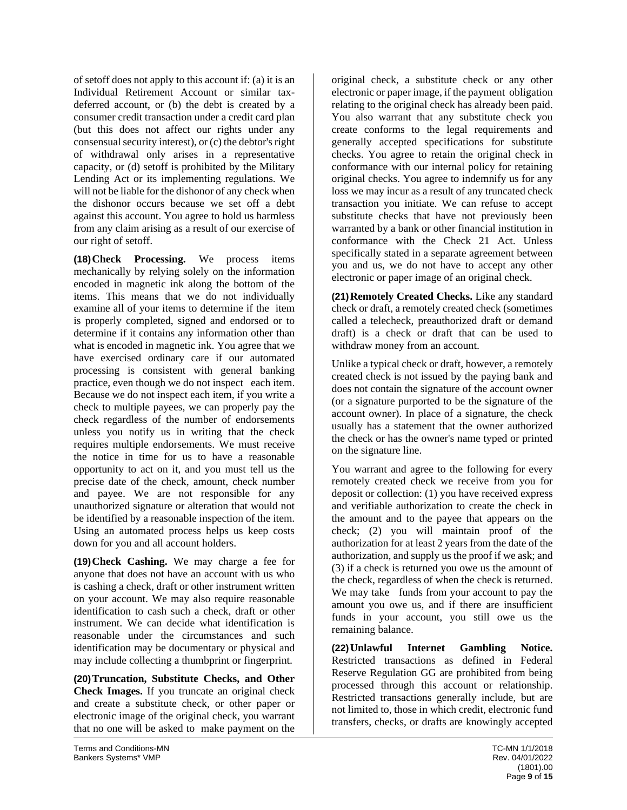of setoff does not apply to this account if: (a) it is an Individual Retirement Account or similar taxdeferred account, or (b) the debt is created by a consumer credit transaction under a credit card plan (but this does not affect our rights under any consensual security interest), or (c) the debtor's right of withdrawal only arises in a representative capacity, or (d) setoff is prohibited by the Military Lending Act or its implementing regulations. We will not be liable for the dishonor of any check when the dishonor occurs because we set off a debt against this account. You agree to hold us harmless from any claim arising as a result of our exercise of our right of setoff.

**(18)Check Processing.** We process items mechanically by relying solely on the information encoded in magnetic ink along the bottom of the items. This means that we do not individually examine all of your items to determine if the item is properly completed, signed and endorsed or to determine if it contains any information other than what is encoded in magnetic ink. You agree that we have exercised ordinary care if our automated processing is consistent with general banking practice, even though we do not inspect each item. Because we do not inspect each item, if you write a check to multiple payees, we can properly pay the check regardless of the number of endorsements unless you notify us in writing that the check requires multiple endorsements. We must receive the notice in time for us to have a reasonable opportunity to act on it, and you must tell us the precise date of the check, amount, check number and payee. We are not responsible for any unauthorized signature or alteration that would not be identified by a reasonable inspection of the item. Using an automated process helps us keep costs down for you and all account holders.

**(19)Check Cashing.** We may charge a fee for anyone that does not have an account with us who is cashing a check, draft or other instrument written on your account. We may also require reasonable identification to cash such a check, draft or other instrument. We can decide what identification is reasonable under the circumstances and such identification may be documentary or physical and may include collecting a thumbprint or fingerprint.

**(20)Truncation, Substitute Checks, and Other Check Images.** If you truncate an original check and create a substitute check, or other paper or electronic image of the original check, you warrant that no one will be asked to make payment on the

original check, a substitute check or any other electronic or paper image, if the payment obligation relating to the original check has already been paid. You also warrant that any substitute check you create conforms to the legal requirements and generally accepted specifications for substitute checks. You agree to retain the original check in conformance with our internal policy for retaining original checks. You agree to indemnify us for any loss we may incur as a result of any truncated check transaction you initiate. We can refuse to accept substitute checks that have not previously been warranted by a bank or other financial institution in conformance with the Check 21 Act. Unless specifically stated in a separate agreement between you and us, we do not have to accept any other electronic or paper image of an original check.

**(21)Remotely Created Checks.** Like any standard check or draft, a remotely created check (sometimes called a telecheck, preauthorized draft or demand draft) is a check or draft that can be used to withdraw money from an account.

Unlike a typical check or draft, however, a remotely created check is not issued by the paying bank and does not contain the signature of the account owner (or a signature purported to be the signature of the account owner). In place of a signature, the check usually has a statement that the owner authorized the check or has the owner's name typed or printed on the signature line.

You warrant and agree to the following for every remotely created check we receive from you for deposit or collection: (1) you have received express and verifiable authorization to create the check in the amount and to the payee that appears on the check; (2) you will maintain proof of the authorization for at least 2 years from the date of the authorization, and supply us the proof if we ask; and (3) if a check is returned you owe us the amount of the check, regardless of when the check is returned. We may take funds from your account to pay the amount you owe us, and if there are insufficient funds in your account, you still owe us the remaining balance.

**(22)Unlawful Internet Gambling Notice.**  Restricted transactions as defined in Federal Reserve Regulation GG are prohibited from being processed through this account or relationship. Restricted transactions generally include, but are not limited to, those in which credit, electronic fund transfers, checks, or drafts are knowingly accepted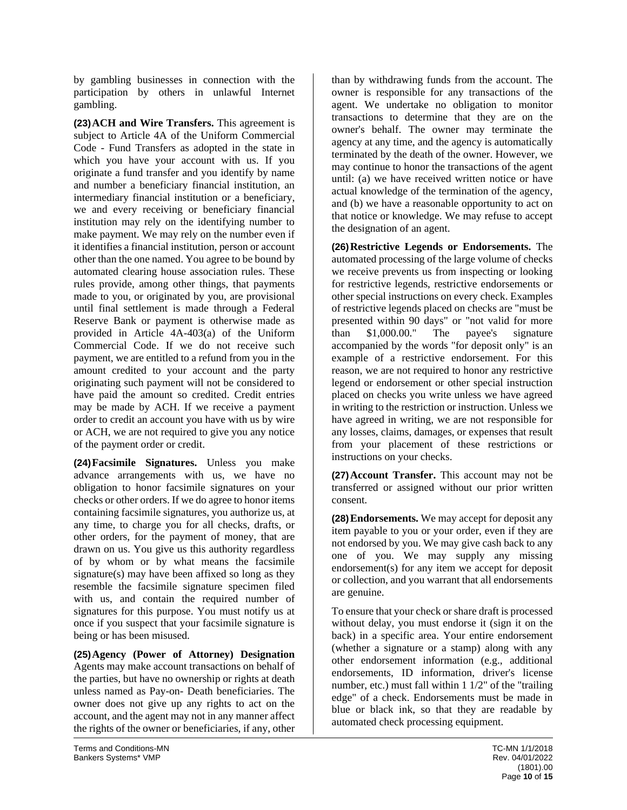by gambling businesses in connection with the participation by others in unlawful Internet gambling.

**(23)ACH and Wire Transfers.** This agreement is subject to Article 4A of the Uniform Commercial Code - Fund Transfers as adopted in the state in which you have your account with us. If you originate a fund transfer and you identify by name and number a beneficiary financial institution, an intermediary financial institution or a beneficiary, we and every receiving or beneficiary financial institution may rely on the identifying number to make payment. We may rely on the number even if it identifies a financial institution, person or account other than the one named. You agree to be bound by automated clearing house association rules. These rules provide, among other things, that payments made to you, or originated by you, are provisional until final settlement is made through a Federal Reserve Bank or payment is otherwise made as provided in Article 4A-403(a) of the Uniform Commercial Code. If we do not receive such payment, we are entitled to a refund from you in the amount credited to your account and the party originating such payment will not be considered to have paid the amount so credited. Credit entries may be made by ACH. If we receive a payment order to credit an account you have with us by wire or ACH, we are not required to give you any notice of the payment order or credit.

**(24)Facsimile Signatures.** Unless you make advance arrangements with us, we have no obligation to honor facsimile signatures on your checks or other orders. If we do agree to honor items containing facsimile signatures, you authorize us, at any time, to charge you for all checks, drafts, or other orders, for the payment of money, that are drawn on us. You give us this authority regardless of by whom or by what means the facsimile signature(s) may have been affixed so long as they resemble the facsimile signature specimen filed with us, and contain the required number of signatures for this purpose. You must notify us at once if you suspect that your facsimile signature is being or has been misused.

**(25)Agency (Power of Attorney) Designation**  Agents may make account transactions on behalf of the parties, but have no ownership or rights at death unless named as Pay-on- Death beneficiaries. The owner does not give up any rights to act on the account, and the agent may not in any manner affect the rights of the owner or beneficiaries, if any, other

than by withdrawing funds from the account. The owner is responsible for any transactions of the agent. We undertake no obligation to monitor transactions to determine that they are on the owner's behalf. The owner may terminate the agency at any time, and the agency is automatically terminated by the death of the owner. However, we may continue to honor the transactions of the agent until: (a) we have received written notice or have actual knowledge of the termination of the agency, and (b) we have a reasonable opportunity to act on that notice or knowledge. We may refuse to accept the designation of an agent.

**(26)Restrictive Legends or Endorsements.** The automated processing of the large volume of checks we receive prevents us from inspecting or looking for restrictive legends, restrictive endorsements or other special instructions on every check. Examples of restrictive legends placed on checks are "must be presented within 90 days" or "not valid for more than \$1,000.00." The payee's signature accompanied by the words "for deposit only" is an example of a restrictive endorsement. For this reason, we are not required to honor any restrictive legend or endorsement or other special instruction placed on checks you write unless we have agreed in writing to the restriction or instruction. Unless we have agreed in writing, we are not responsible for any losses, claims, damages, or expenses that result from your placement of these restrictions or instructions on your checks.

**(27)Account Transfer.** This account may not be transferred or assigned without our prior written consent.

**(28)Endorsements.** We may accept for deposit any item payable to you or your order, even if they are not endorsed by you. We may give cash back to any one of you. We may supply any missing endorsement(s) for any item we accept for deposit or collection, and you warrant that all endorsements are genuine.

To ensure that your check or share draft is processed without delay, you must endorse it (sign it on the back) in a specific area. Your entire endorsement (whether a signature or a stamp) along with any other endorsement information (e.g., additional endorsements, ID information, driver's license number, etc.) must fall within 1 1/2" of the "trailing edge" of a check. Endorsements must be made in blue or black ink, so that they are readable by automated check processing equipment.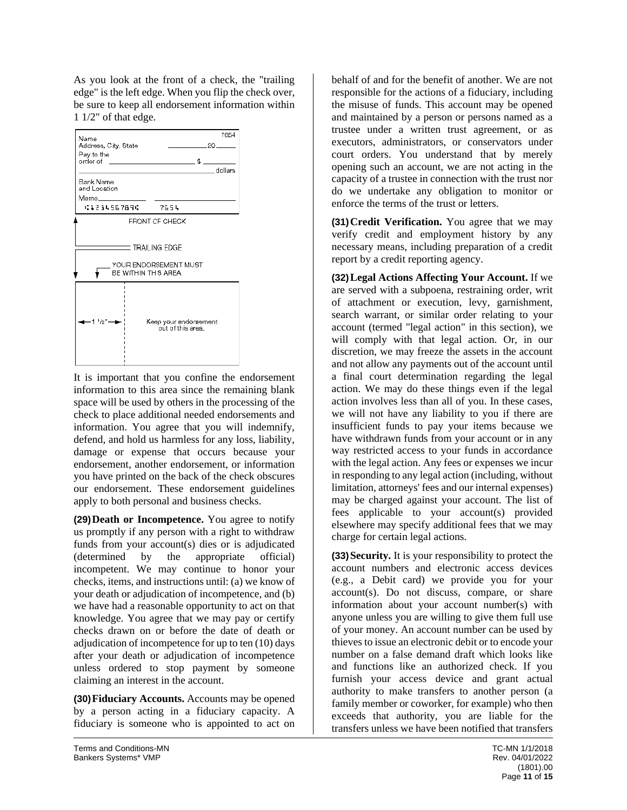As you look at the front of a check, the "trailing edge" is the left edge. When you flip the check over, be sure to keep all endorsement information within 1 1/2" of that edge.



It is important that you confine the endorsement information to this area since the remaining blank space will be used by others in the processing of the check to place additional needed endorsements and information. You agree that you will indemnify, defend, and hold us harmless for any loss, liability, damage or expense that occurs because your endorsement, another endorsement, or information you have printed on the back of the check obscures our endorsement. These endorsement guidelines apply to both personal and business checks.

**(29)Death or Incompetence.** You agree to notify us promptly if any person with a right to withdraw funds from your account(s) dies or is adjudicated (determined by the appropriate official) incompetent. We may continue to honor your checks, items, and instructions until: (a) we know of your death or adjudication of incompetence, and (b) we have had a reasonable opportunity to act on that knowledge. You agree that we may pay or certify checks drawn on or before the date of death or adjudication of incompetence for up to ten (10) days after your death or adjudication of incompetence unless ordered to stop payment by someone claiming an interest in the account.

**(30)Fiduciary Accounts.** Accounts may be opened by a person acting in a fiduciary capacity. A fiduciary is someone who is appointed to act on

behalf of and for the benefit of another. We are not responsible for the actions of a fiduciary, including the misuse of funds. This account may be opened and maintained by a person or persons named as a trustee under a written trust agreement, or as executors, administrators, or conservators under court orders. You understand that by merely opening such an account, we are not acting in the capacity of a trustee in connection with the trust nor do we undertake any obligation to monitor or enforce the terms of the trust or letters.

**(31)Credit Verification.** You agree that we may verify credit and employment history by any necessary means, including preparation of a credit report by a credit reporting agency.

**(32)Legal Actions Affecting Your Account.** If we are served with a subpoena, restraining order, writ of attachment or execution, levy, garnishment, search warrant, or similar order relating to your account (termed "legal action" in this section), we will comply with that legal action. Or, in our discretion, we may freeze the assets in the account and not allow any payments out of the account until a final court determination regarding the legal action. We may do these things even if the legal action involves less than all of you. In these cases, we will not have any liability to you if there are insufficient funds to pay your items because we have withdrawn funds from your account or in any way restricted access to your funds in accordance with the legal action. Any fees or expenses we incur in responding to any legal action (including, without limitation, attorneys' fees and our internal expenses) may be charged against your account. The list of fees applicable to your account(s) provided elsewhere may specify additional fees that we may charge for certain legal actions.

**(33)Security.** It is your responsibility to protect the account numbers and electronic access devices (e.g., a Debit card) we provide you for your account(s). Do not discuss, compare, or share information about your account number(s) with anyone unless you are willing to give them full use of your money. An account number can be used by thieves to issue an electronic debit or to encode your number on a false demand draft which looks like and functions like an authorized check. If you furnish your access device and grant actual authority to make transfers to another person (a family member or coworker, for example) who then exceeds that authority, you are liable for the transfers unless we have been notified that transfers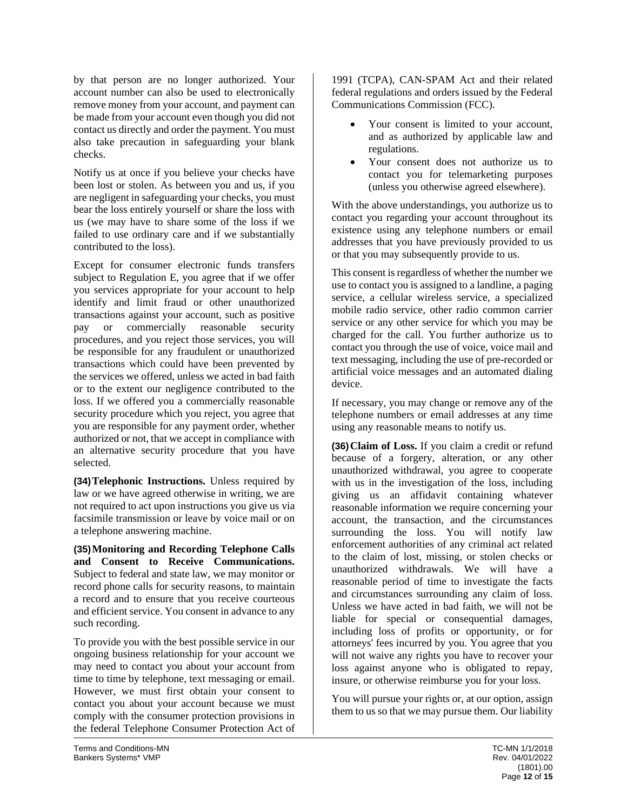by that person are no longer authorized. Your account number can also be used to electronically remove money from your account, and payment can be made from your account even though you did not contact us directly and order the payment. You must also take precaution in safeguarding your blank checks.

Notify us at once if you believe your checks have been lost or stolen. As between you and us, if you are negligent in safeguarding your checks, you must bear the loss entirely yourself or share the loss with us (we may have to share some of the loss if we failed to use ordinary care and if we substantially contributed to the loss).

Except for consumer electronic funds transfers subject to Regulation E, you agree that if we offer you services appropriate for your account to help identify and limit fraud or other unauthorized transactions against your account, such as positive pay or commercially reasonable security procedures, and you reject those services, you will be responsible for any fraudulent or unauthorized transactions which could have been prevented by the services we offered, unless we acted in bad faith or to the extent our negligence contributed to the loss. If we offered you a commercially reasonable security procedure which you reject, you agree that you are responsible for any payment order, whether authorized or not, that we accept in compliance with an alternative security procedure that you have selected.

**(34)Telephonic Instructions.** Unless required by law or we have agreed otherwise in writing, we are not required to act upon instructions you give us via facsimile transmission or leave by voice mail or on a telephone answering machine.

**(35)Monitoring and Recording Telephone Calls and Consent to Receive Communications.**  Subject to federal and state law, we may monitor or record phone calls for security reasons, to maintain a record and to ensure that you receive courteous and efficient service. You consent in advance to any such recording.

To provide you with the best possible service in our ongoing business relationship for your account we may need to contact you about your account from time to time by telephone, text messaging or email. However, we must first obtain your consent to contact you about your account because we must comply with the consumer protection provisions in the federal Telephone Consumer Protection Act of

1991 (TCPA), CAN-SPAM Act and their related federal regulations and orders issued by the Federal Communications Commission (FCC).

- Your consent is limited to your account, and as authorized by applicable law and regulations.
- Your consent does not authorize us to contact you for telemarketing purposes (unless you otherwise agreed elsewhere).

With the above understandings, you authorize us to contact you regarding your account throughout its existence using any telephone numbers or email addresses that you have previously provided to us or that you may subsequently provide to us.

This consent is regardless of whether the number we use to contact you is assigned to a landline, a paging service, a cellular wireless service, a specialized mobile radio service, other radio common carrier service or any other service for which you may be charged for the call. You further authorize us to contact you through the use of voice, voice mail and text messaging, including the use of pre-recorded or artificial voice messages and an automated dialing device.

If necessary, you may change or remove any of the telephone numbers or email addresses at any time using any reasonable means to notify us.

**(36)Claim of Loss.** If you claim a credit or refund because of a forgery, alteration, or any other unauthorized withdrawal, you agree to cooperate with us in the investigation of the loss, including giving us an affidavit containing whatever reasonable information we require concerning your account, the transaction, and the circumstances surrounding the loss. You will notify law enforcement authorities of any criminal act related to the claim of lost, missing, or stolen checks or unauthorized withdrawals. We will have a reasonable period of time to investigate the facts and circumstances surrounding any claim of loss. Unless we have acted in bad faith, we will not be liable for special or consequential damages, including loss of profits or opportunity, or for attorneys' fees incurred by you. You agree that you will not waive any rights you have to recover your loss against anyone who is obligated to repay, insure, or otherwise reimburse you for your loss.

You will pursue your rights or, at our option, assign them to us so that we may pursue them. Our liability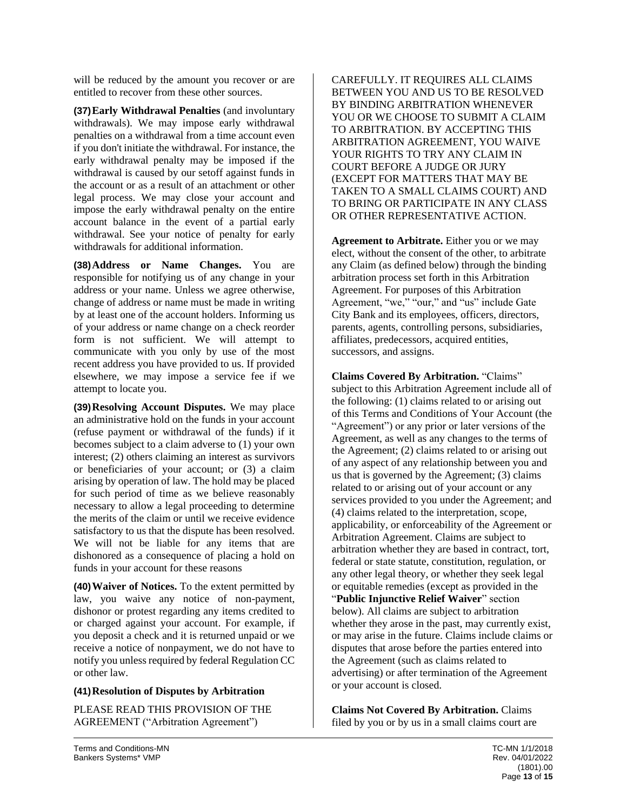will be reduced by the amount you recover or are entitled to recover from these other sources.

**(37)Early Withdrawal Penalties** (and involuntary withdrawals). We may impose early withdrawal penalties on a withdrawal from a time account even if you don't initiate the withdrawal. For instance, the early withdrawal penalty may be imposed if the withdrawal is caused by our setoff against funds in the account or as a result of an attachment or other legal process. We may close your account and impose the early withdrawal penalty on the entire account balance in the event of a partial early withdrawal. See your notice of penalty for early withdrawals for additional information.

**(38)Address or Name Changes.** You are responsible for notifying us of any change in your address or your name. Unless we agree otherwise, change of address or name must be made in writing by at least one of the account holders. Informing us of your address or name change on a check reorder form is not sufficient. We will attempt to communicate with you only by use of the most recent address you have provided to us. If provided elsewhere, we may impose a service fee if we attempt to locate you.

**(39)Resolving Account Disputes.** We may place an administrative hold on the funds in your account (refuse payment or withdrawal of the funds) if it becomes subject to a claim adverse to (1) your own interest; (2) others claiming an interest as survivors or beneficiaries of your account; or (3) a claim arising by operation of law. The hold may be placed for such period of time as we believe reasonably necessary to allow a legal proceeding to determine the merits of the claim or until we receive evidence satisfactory to us that the dispute has been resolved. We will not be liable for any items that are dishonored as a consequence of placing a hold on funds in your account for these reasons

**(40)Waiver of Notices.** To the extent permitted by law, you waive any notice of non-payment, dishonor or protest regarding any items credited to or charged against your account. For example, if you deposit a check and it is returned unpaid or we receive a notice of nonpayment, we do not have to notify you unless required by federal Regulation CC or other law.

## **(41)Resolution of Disputes by Arbitration**

PLEASE READ THIS PROVISION OF THE AGREEMENT ("Arbitration Agreement")

CAREFULLY. IT REQUIRES ALL CLAIMS BETWEEN YOU AND US TO BE RESOLVED BY BINDING ARBITRATION WHENEVER YOU OR WE CHOOSE TO SUBMIT A CLAIM TO ARBITRATION. BY ACCEPTING THIS ARBITRATION AGREEMENT, YOU WAIVE YOUR RIGHTS TO TRY ANY CLAIM IN COURT BEFORE A JUDGE OR JURY (EXCEPT FOR MATTERS THAT MAY BE TAKEN TO A SMALL CLAIMS COURT) AND TO BRING OR PARTICIPATE IN ANY CLASS OR OTHER REPRESENTATIVE ACTION.

**Agreement to Arbitrate.** Either you or we may elect, without the consent of the other, to arbitrate any Claim (as defined below) through the binding arbitration process set forth in this Arbitration Agreement. For purposes of this Arbitration Agreement, "we," "our," and "us" include Gate City Bank and its employees, officers, directors, parents, agents, controlling persons, subsidiaries, affiliates, predecessors, acquired entities, successors, and assigns.

**Claims Covered By Arbitration.** "Claims" subject to this Arbitration Agreement include all of the following: (1) claims related to or arising out of this Terms and Conditions of Your Account (the "Agreement") or any prior or later versions of the Agreement, as well as any changes to the terms of the Agreement; (2) claims related to or arising out of any aspect of any relationship between you and us that is governed by the Agreement; (3) claims related to or arising out of your account or any services provided to you under the Agreement; and (4) claims related to the interpretation, scope, applicability, or enforceability of the Agreement or Arbitration Agreement. Claims are subject to arbitration whether they are based in contract, tort, federal or state statute, constitution, regulation, or any other legal theory, or whether they seek legal or equitable remedies (except as provided in the "**Public Injunctive Relief Waiver**" section below). All claims are subject to arbitration whether they arose in the past, may currently exist, or may arise in the future. Claims include claims or disputes that arose before the parties entered into the Agreement (such as claims related to advertising) or after termination of the Agreement or your account is closed.

**Claims Not Covered By Arbitration.** Claims filed by you or by us in a small claims court are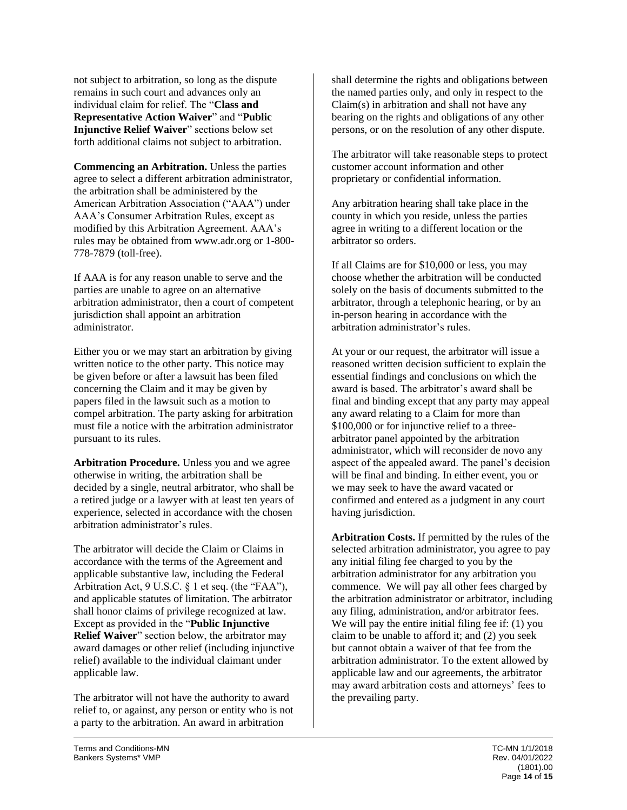not subject to arbitration, so long as the dispute remains in such court and advances only an individual claim for relief. The "**Class and Representative Action Waiver**" and "**Public Injunctive Relief Waiver**" sections below set forth additional claims not subject to arbitration.

**Commencing an Arbitration.** Unless the parties agree to select a different arbitration administrator, the arbitration shall be administered by the American Arbitration Association ("AAA") under AAA's Consumer Arbitration Rules, except as modified by this Arbitration Agreement. AAA's rules may be obtained from www.adr.org or 1-800- 778-7879 (toll-free).

If AAA is for any reason unable to serve and the parties are unable to agree on an alternative arbitration administrator, then a court of competent jurisdiction shall appoint an arbitration administrator.

Either you or we may start an arbitration by giving written notice to the other party. This notice may be given before or after a lawsuit has been filed concerning the Claim and it may be given by papers filed in the lawsuit such as a motion to compel arbitration. The party asking for arbitration must file a notice with the arbitration administrator pursuant to its rules.

**Arbitration Procedure.** Unless you and we agree otherwise in writing, the arbitration shall be decided by a single, neutral arbitrator, who shall be a retired judge or a lawyer with at least ten years of experience, selected in accordance with the chosen arbitration administrator's rules.

The arbitrator will decide the Claim or Claims in accordance with the terms of the Agreement and applicable substantive law, including the Federal Arbitration Act, 9 U.S.C. § 1 et seq. (the "FAA"), and applicable statutes of limitation. The arbitrator shall honor claims of privilege recognized at law. Except as provided in the "**Public Injunctive Relief Waiver**" section below, the arbitrator may award damages or other relief (including injunctive relief) available to the individual claimant under applicable law.

The arbitrator will not have the authority to award relief to, or against, any person or entity who is not a party to the arbitration. An award in arbitration

The arbitrator will take reasonable steps to protect customer account information and other proprietary or confidential information.

Any arbitration hearing shall take place in the county in which you reside, unless the parties agree in writing to a different location or the arbitrator so orders.

If all Claims are for \$10,000 or less, you may choose whether the arbitration will be conducted solely on the basis of documents submitted to the arbitrator, through a telephonic hearing, or by an in-person hearing in accordance with the arbitration administrator's rules.

At your or our request, the arbitrator will issue a reasoned written decision sufficient to explain the essential findings and conclusions on which the award is based. The arbitrator's award shall be final and binding except that any party may appeal any award relating to a Claim for more than \$100,000 or for injunctive relief to a threearbitrator panel appointed by the arbitration administrator, which will reconsider de novo any aspect of the appealed award. The panel's decision will be final and binding. In either event, you or we may seek to have the award vacated or confirmed and entered as a judgment in any court having jurisdiction.

**Arbitration Costs.** If permitted by the rules of the selected arbitration administrator, you agree to pay any initial filing fee charged to you by the arbitration administrator for any arbitration you commence. We will pay all other fees charged by the arbitration administrator or arbitrator, including any filing, administration, and/or arbitrator fees. We will pay the entire initial filing fee if: (1) you claim to be unable to afford it; and (2) you seek but cannot obtain a waiver of that fee from the arbitration administrator. To the extent allowed by applicable law and our agreements, the arbitrator may award arbitration costs and attorneys' fees to the prevailing party.